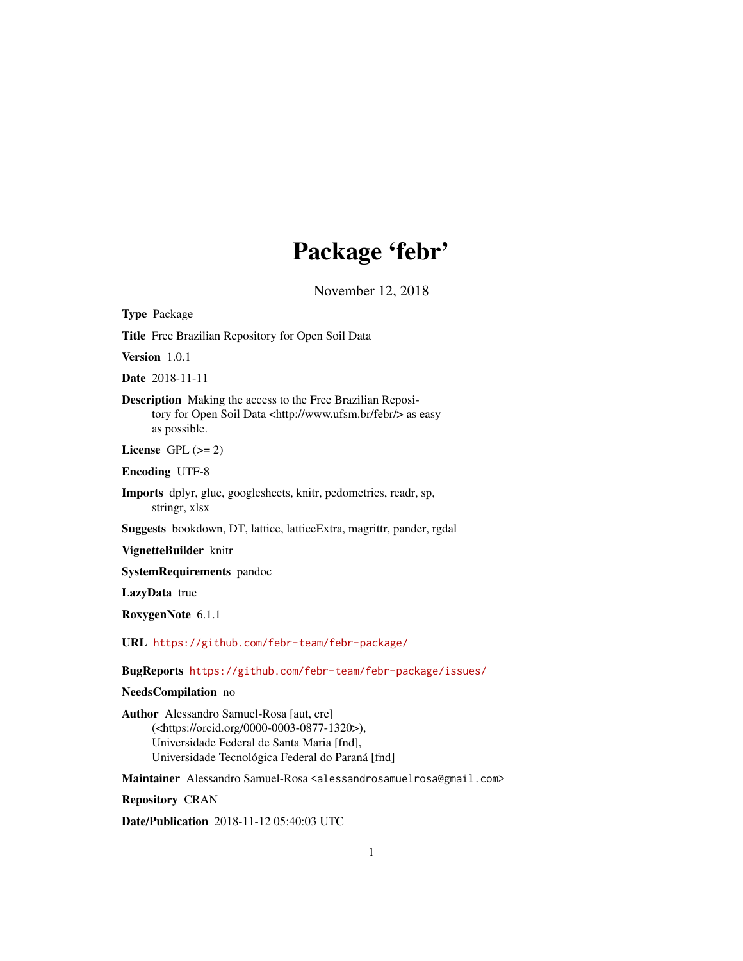## Package 'febr'

November 12, 2018

<span id="page-0-0"></span>Type Package

Title Free Brazilian Repository for Open Soil Data

Version 1.0.1

Date 2018-11-11

Description Making the access to the Free Brazilian Repository for Open Soil Data <http://www.ufsm.br/febr/> as easy as possible.

License GPL  $(>= 2)$ 

Encoding UTF-8

Imports dplyr, glue, googlesheets, knitr, pedometrics, readr, sp, stringr, xlsx

Suggests bookdown, DT, lattice, latticeExtra, magrittr, pander, rgdal

VignetteBuilder knitr

SystemRequirements pandoc

LazyData true

RoxygenNote 6.1.1

URL <https://github.com/febr-team/febr-package/>

BugReports <https://github.com/febr-team/febr-package/issues/>

NeedsCompilation no

Author Alessandro Samuel-Rosa [aut, cre] (<https://orcid.org/0000-0003-0877-1320>), Universidade Federal de Santa Maria [fnd], Universidade Tecnológica Federal do Paraná [fnd]

Maintainer Alessandro Samuel-Rosa <alessandrosamuelrosa@gmail.com>

Repository CRAN

Date/Publication 2018-11-12 05:40:03 UTC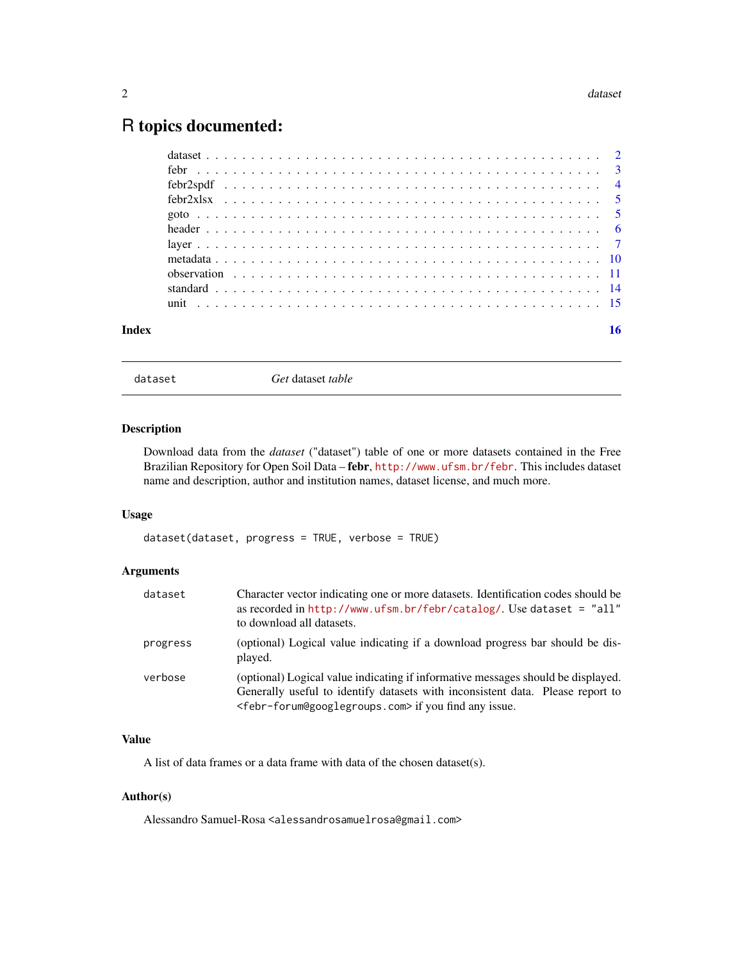### <span id="page-1-0"></span>R topics documented:

| Index | 16 |
|-------|----|

<span id="page-1-1"></span>dataset *Get* dataset *table*

#### Description

Download data from the *dataset* ("dataset") table of one or more datasets contained in the Free Brazilian Repository for Open Soil Data – febr, <http://www.ufsm.br/febr>. This includes dataset name and description, author and institution names, dataset license, and much more.

#### Usage

dataset(dataset, progress = TRUE, verbose = TRUE)

#### Arguments

| dataset  | Character vector indicating one or more datasets. Identification codes should be<br>as recorded in http://www.ufsm.br/febr/catalog/. Use dataset = $"all"$<br>to download all datasets.                                                                  |
|----------|----------------------------------------------------------------------------------------------------------------------------------------------------------------------------------------------------------------------------------------------------------|
| progress | (optional) Logical value indicating if a download progress bar should be dis-<br>played.                                                                                                                                                                 |
| verbose  | (optional) Logical value indicating if informative messages should be displayed.<br>Generally useful to identify datasets with inconsistent data. Please report to<br><febr-forum@googlegroups.com> if you find any issue.</febr-forum@googlegroups.com> |

#### Value

A list of data frames or a data frame with data of the chosen dataset(s).

#### Author(s)

Alessandro Samuel-Rosa <alessandrosamuelrosa@gmail.com>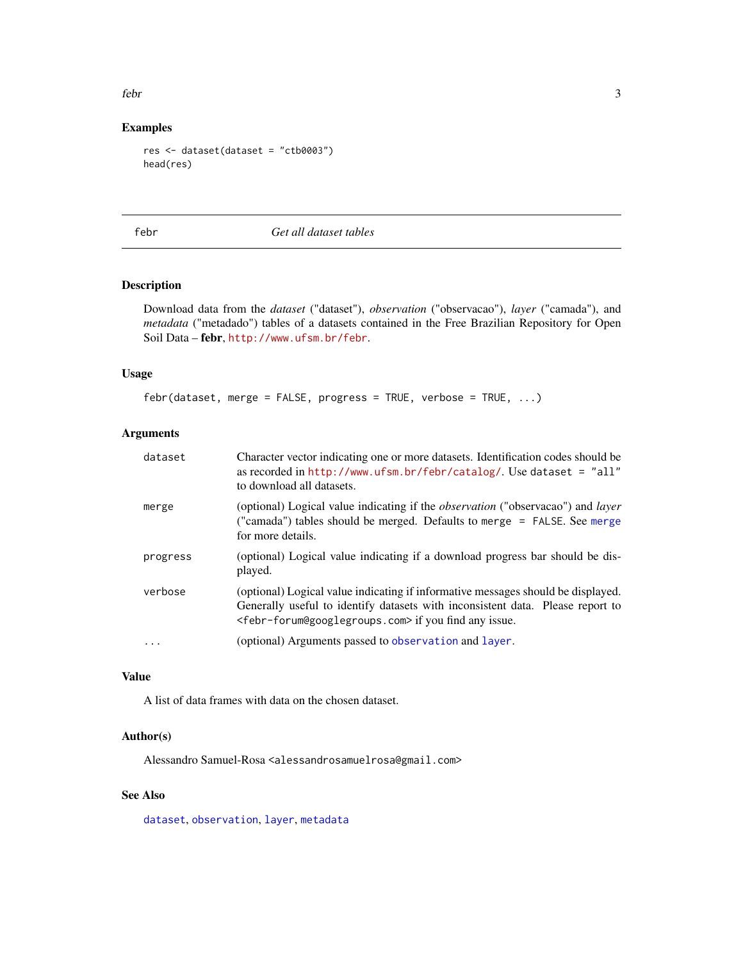<span id="page-2-0"></span>febr 3

#### Examples

```
res <- dataset(dataset = "ctb0003")
head(res)
```
febr *Get all dataset tables*

#### Description

Download data from the *dataset* ("dataset"), *observation* ("observacao"), *layer* ("camada"), and *metadata* ("metadado") tables of a datasets contained in the Free Brazilian Repository for Open Soil Data – febr, <http://www.ufsm.br/febr>.

#### Usage

febr(dataset, merge = FALSE, progress = TRUE, verbose = TRUE, ...)

#### Arguments

| dataset  | Character vector indicating one or more datasets. Identification codes should be<br>as recorded in $http://www.ufsm.br/febr/catalog/$ . Use dataset = "all"<br>to download all datasets.                                                                 |
|----------|----------------------------------------------------------------------------------------------------------------------------------------------------------------------------------------------------------------------------------------------------------|
| merge    | (optional) Logical value indicating if the <i>observation</i> ("observacao") and <i>layer</i><br>("camada") tables should be merged. Defaults to merge = FALSE. See merge<br>for more details.                                                           |
| progress | (optional) Logical value indicating if a download progress bar should be dis-<br>played.                                                                                                                                                                 |
| verbose  | (optional) Logical value indicating if informative messages should be displayed.<br>Generally useful to identify datasets with inconsistent data. Please report to<br><febr-forum@googlegroups.com> if you find any issue.</febr-forum@googlegroups.com> |
| $\cdot$  | (optional) Arguments passed to observation and layer.                                                                                                                                                                                                    |

#### Value

A list of data frames with data on the chosen dataset.

#### Author(s)

Alessandro Samuel-Rosa <alessandrosamuelrosa@gmail.com>

#### See Also

[dataset](#page-1-1), [observation](#page-10-1), [layer](#page-6-1), [metadata](#page-9-1)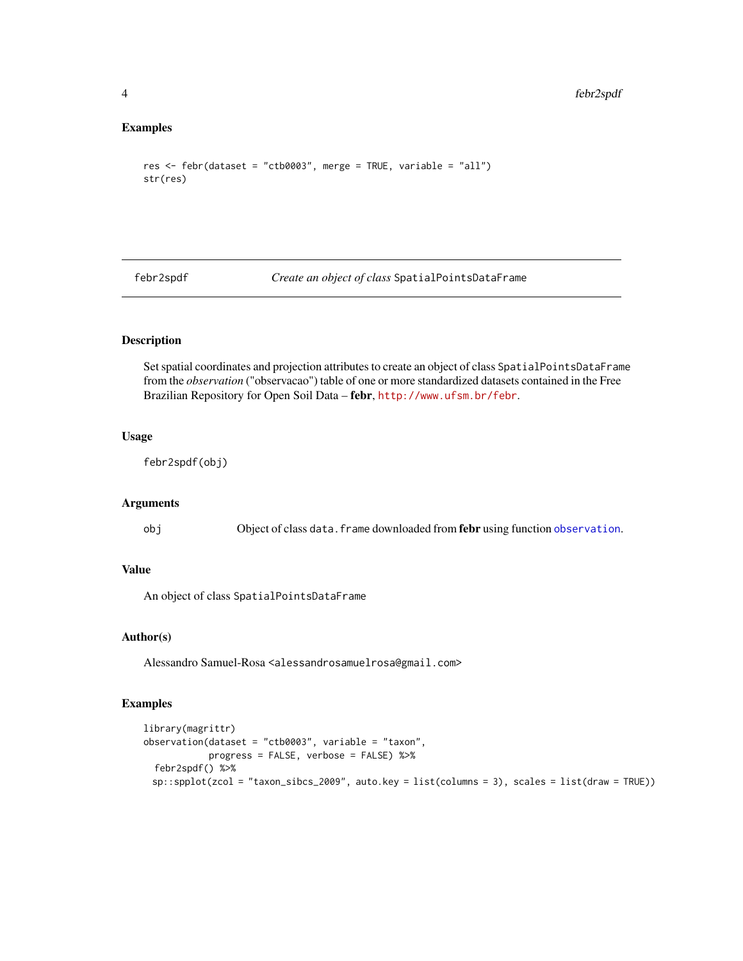#### Examples

```
res <- febr(dataset = "ctb0003", merge = TRUE, variable = "all")
str(res)
```
febr2spdf *Create an object of class* SpatialPointsDataFrame

#### Description

Set spatial coordinates and projection attributes to create an object of class SpatialPointsDataFrame from the *observation* ("observacao") table of one or more standardized datasets contained in the Free Brazilian Repository for Open Soil Data – febr, <http://www.ufsm.br/febr>.

#### Usage

febr2spdf(obj)

#### Arguments

obj Object of class data. frame downloaded from februsing function [observation](#page-10-1).

#### Value

An object of class SpatialPointsDataFrame

#### Author(s)

Alessandro Samuel-Rosa <alessandrosamuelrosa@gmail.com>

#### Examples

```
library(magrittr)
observation(dataset = "ctb0003", variable = "taxon",progress = FALSE, verbose = FALSE) %>%
 febr2spdf() %>%
 sp::spplot(zcol = "taxon_sibcs_2009", auto.key = list(columns = 3), scales = list(draw = TRUE))
```
<span id="page-3-0"></span>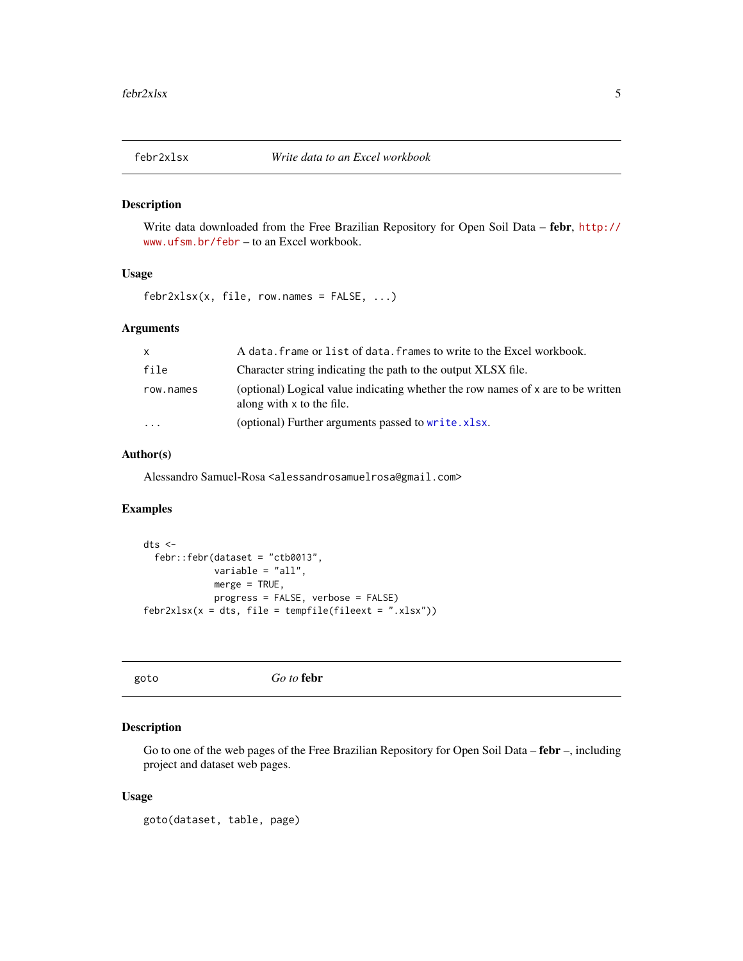<span id="page-4-0"></span>

#### Description

Write data downloaded from the Free Brazilian Repository for Open Soil Data – febr, [http://](http://www.ufsm.br/febr) [www.ufsm.br/febr](http://www.ufsm.br/febr) – to an Excel workbook.

#### Usage

 $febr2xlsx(x, file, row.name = FALSE, ...)$ 

#### Arguments

| $\mathsf{x}$            | A data. frame or list of data. frames to write to the Excel workbook.                                         |
|-------------------------|---------------------------------------------------------------------------------------------------------------|
| file                    | Character string indicating the path to the output XLSX file.                                                 |
| row.names               | (optional) Logical value indicating whether the row names of x are to be written<br>along with x to the file. |
| $\cdot$ $\cdot$ $\cdot$ | (optional) Further arguments passed to write.xlsx.                                                            |

#### Author(s)

Alessandro Samuel-Rosa <alessandrosamuelrosa@gmail.com>

#### Examples

```
dts <-
  febr::febr(dataset = "ctb0013",
             variable = "all",
             merge = TRUE,
             progress = FALSE, verbose = FALSE)
febr2xlsx(x = dts, file = tempfile(fileext = ".xlsx"))
```

```
goto Go to febr
```
#### Description

Go to one of the web pages of the Free Brazilian Repository for Open Soil Data – febr –, including project and dataset web pages.

#### Usage

goto(dataset, table, page)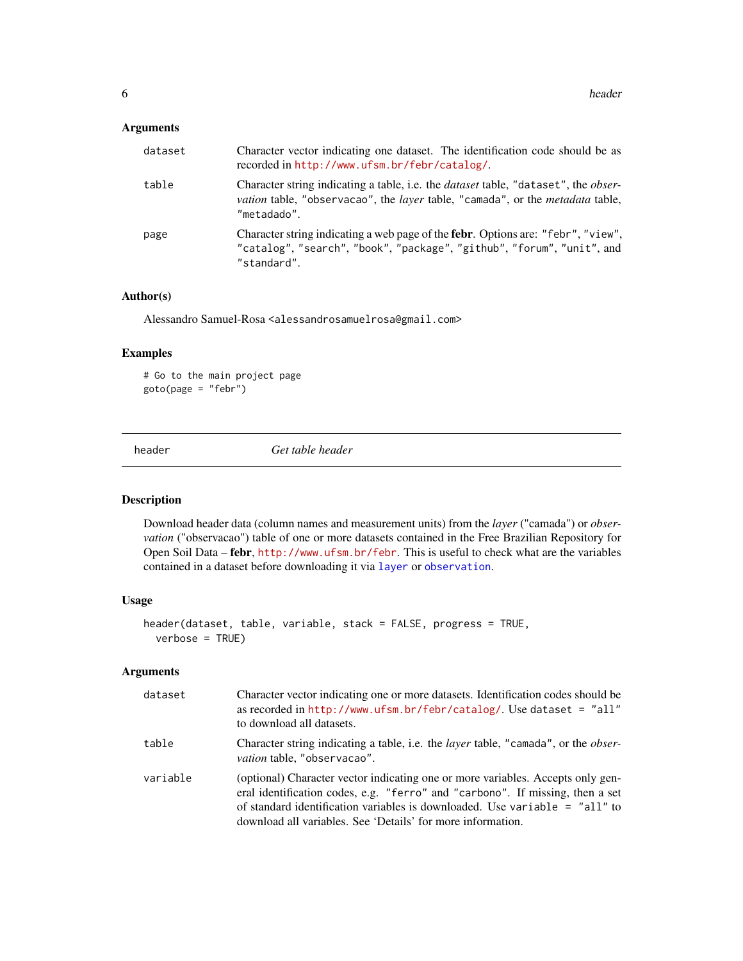#### <span id="page-5-0"></span>Arguments

| dataset | Character vector indicating one dataset. The identification code should be as<br>recorded in http://www.ufsm.br/febr/catalog/.                                                                                        |
|---------|-----------------------------------------------------------------------------------------------------------------------------------------------------------------------------------------------------------------------|
| table   | Character string indicating a table, i.e. the <i>dataset</i> table, "dataset", the <i>obser-</i><br><i>vation</i> table, "observacao", the <i>layer</i> table, "camada", or the <i>metadata</i> table,<br>"metadado". |
| page    | Character string indicating a web page of the <b>febr</b> . Options are: "febr", "view",<br>"catalog", "search", "book", "package", "github", "forum", "unit", and<br>"standard".                                     |

#### Author(s)

Alessandro Samuel-Rosa <alessandrosamuelrosa@gmail.com>

#### Examples

# Go to the main project page  $goto(page = "febr")$ 

<span id="page-5-1"></span>header *Get table header*

#### Description

Download header data (column names and measurement units) from the *layer* ("camada") or *observation* ("observacao") table of one or more datasets contained in the Free Brazilian Repository for Open Soil Data – febr, <http://www.ufsm.br/febr>. This is useful to check what are the variables contained in a dataset before downloading it via [layer](#page-6-1) or [observation](#page-10-1).

#### Usage

```
header(dataset, table, variable, stack = FALSE, progress = TRUE,
  verbose = TRUE)
```

| dataset  | Character vector indicating one or more datasets. Identification codes should be<br>as recorded in $http://www.ufsm.br/febr/catalog/.$ Use dataset = "all"<br>to download all datasets.                                                                                                                          |
|----------|------------------------------------------------------------------------------------------------------------------------------------------------------------------------------------------------------------------------------------------------------------------------------------------------------------------|
| table    | Character string indicating a table, i.e. the <i>layer</i> table, "camada", or the <i>obser</i> -<br><i>vation</i> table, "observacao".                                                                                                                                                                          |
| variable | (optional) Character vector indicating one or more variables. Accepts only gen-<br>eral identification codes, e.g. "ferro" and "carbono". If missing, then a set<br>of standard identification variables is downloaded. Use variable $=$ "all" to<br>download all variables. See 'Details' for more information. |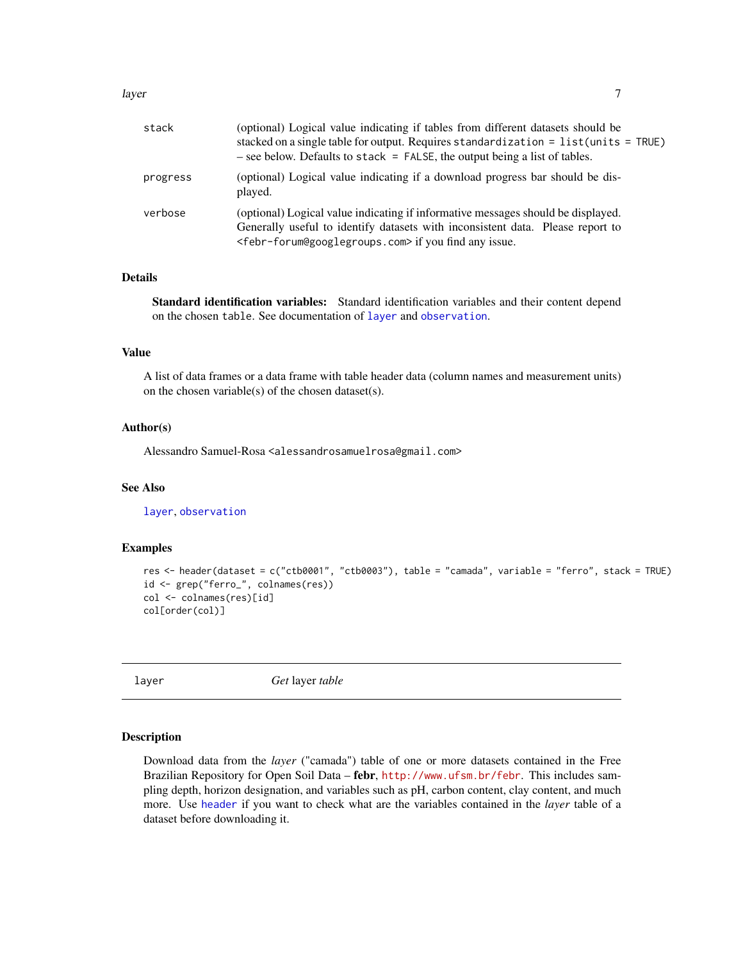#### <span id="page-6-0"></span>layer 7 and 2008 and 2008 and 2008 and 2008 and 2008 and 2008 and 2008 and 2008 and 2008 and 2008 and 2008 and 2008 and 2008 and 2008 and 2008 and 2008 and 2008 and 2008 and 2008 and 2008 and 2008 and 2008 and 2008 and 200

| stack    | (optional) Logical value indicating if tables from different datasets should be<br>stacked on a single table for output. Requires standardization = $list$ (units = TRUE)<br>$-$ see below. Defaults to stack = FALSE, the output being a list of tables. |
|----------|-----------------------------------------------------------------------------------------------------------------------------------------------------------------------------------------------------------------------------------------------------------|
| progress | (optional) Logical value indicating if a download progress bar should be dis-<br>played.                                                                                                                                                                  |
| verbose  | (optional) Logical value indicating if informative messages should be displayed.<br>Generally useful to identify datasets with inconsistent data. Please report to<br><febr-forum@googlegroups.com> if you find any issue.</febr-forum@googlegroups.com>  |

#### Details

Standard identification variables: Standard identification variables and their content depend on the chosen table. See documentation of [layer](#page-6-1) and [observation](#page-10-1).

#### Value

A list of data frames or a data frame with table header data (column names and measurement units) on the chosen variable(s) of the chosen dataset(s).

#### Author(s)

Alessandro Samuel-Rosa <alessandrosamuelrosa@gmail.com>

#### See Also

[layer](#page-6-1), [observation](#page-10-1)

#### Examples

```
res <- header(dataset = c("ctb0001", "ctb0003"), table = "camada", variable = "ferro", stack = TRUE)
id <- grep("ferro_", colnames(res))
col <- colnames(res)[id]
col[order(col)]
```
<span id="page-6-1"></span>layer *Get* layer *table*

#### Description

Download data from the *layer* ("camada") table of one or more datasets contained in the Free Brazilian Repository for Open Soil Data – febr, <http://www.ufsm.br/febr>. This includes sampling depth, horizon designation, and variables such as pH, carbon content, clay content, and much more. Use [header](#page-5-1) if you want to check what are the variables contained in the *layer* table of a dataset before downloading it.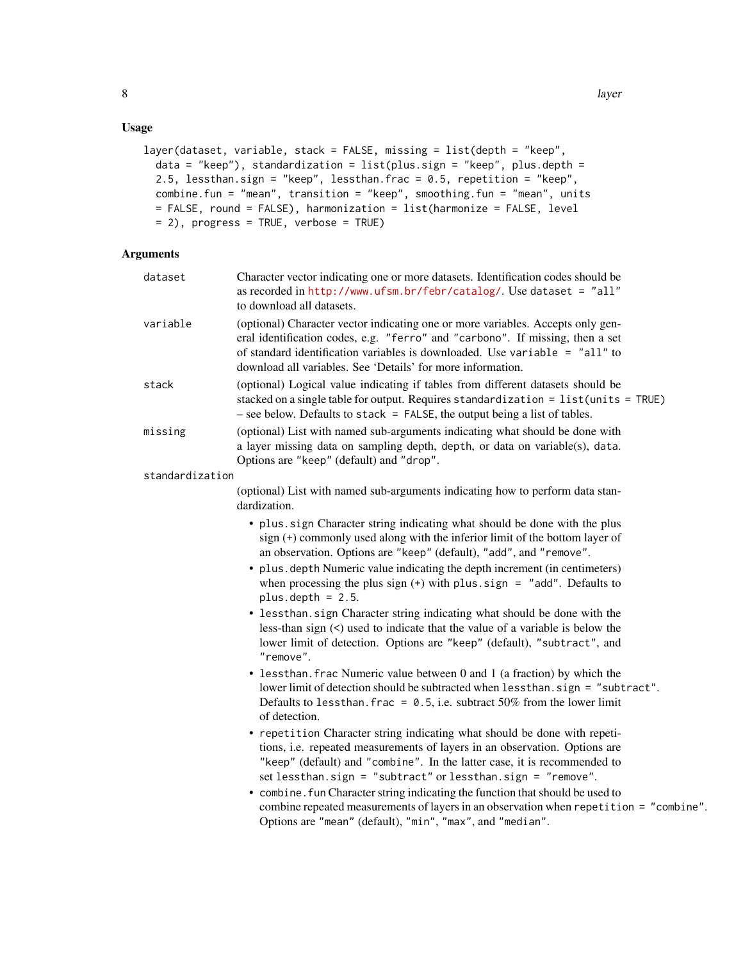#### Usage

```
layer(dataset, variable, stack = FALSE, missing = list(depth = "keep",
 data = "keep"), standardization = list(plus.size) = "keep", plus.depth =2.5, lessthan.sign = "keep", lessthan.frac = 0.5, repetition = "keep",
 combine.fun = "mean", transition = "keep", smoothing.fun = "mean", units
 = FALSE, round = FALSE), harmonization = list(harmonize = FALSE, level
 = 2), progress = TRUE, verbose = TRUE)
```

| dataset         | Character vector indicating one or more datasets. Identification codes should be<br>as recorded in http://www.ufsm.br/febr/catalog/. Use dataset = "all"<br>to download all datasets.                                                                                                                                                                                                |
|-----------------|--------------------------------------------------------------------------------------------------------------------------------------------------------------------------------------------------------------------------------------------------------------------------------------------------------------------------------------------------------------------------------------|
| variable        | (optional) Character vector indicating one or more variables. Accepts only gen-<br>eral identification codes, e.g. "ferro" and "carbono". If missing, then a set<br>of standard identification variables is downloaded. Use variable = "all" to<br>download all variables. See 'Details' for more information.                                                                       |
| stack           | (optional) Logical value indicating if tables from different datasets should be<br>stacked on a single table for output. Requires standardization = list(units = TRUE)<br>$-$ see below. Defaults to stack = FALSE, the output being a list of tables.                                                                                                                               |
| missing         | (optional) List with named sub-arguments indicating what should be done with<br>a layer missing data on sampling depth, depth, or data on variable(s), data.<br>Options are "keep" (default) and "drop".                                                                                                                                                                             |
| standardization |                                                                                                                                                                                                                                                                                                                                                                                      |
|                 | (optional) List with named sub-arguments indicating how to perform data stan-<br>dardization.                                                                                                                                                                                                                                                                                        |
|                 | • plus sign Character string indicating what should be done with the plus<br>sign (+) commonly used along with the inferior limit of the bottom layer of<br>an observation. Options are "keep" (default), "add", and "remove".                                                                                                                                                       |
|                 | · plus.depth Numeric value indicating the depth increment (in centimeters)<br>when processing the plus sign $(+)$ with plus sign = "add". Defaults to<br>plus.depth = $2.5$ .                                                                                                                                                                                                        |
|                 | • lessthan.sign Character string indicating what should be done with the<br>less-than sign $(\le)$ used to indicate that the value of a variable is below the<br>lower limit of detection. Options are "keep" (default), "subtract", and<br>"remove".                                                                                                                                |
|                 | • lessthan. frac Numeric value between 0 and 1 (a fraction) by which the<br>lower limit of detection should be subtracted when less than. sign = "subtract".<br>Defaults to less than. frac = $0.5$ , i.e. subtract 50% from the lower limit<br>of detection.                                                                                                                        |
|                 | • repetition Character string indicating what should be done with repeti-<br>tions, i.e. repeated measurements of layers in an observation. Options are<br>"keep" (default) and "combine". In the latter case, it is recommended to<br>set lessthan.sign = "subtract" or lessthan.sign = "remove".<br>• combine. fun Character string indicating the function that should be used to |
|                 | combine repeated measurements of layers in an observation when repetition = "combine".<br>Options are "mean" (default), "min", "max", and "median".                                                                                                                                                                                                                                  |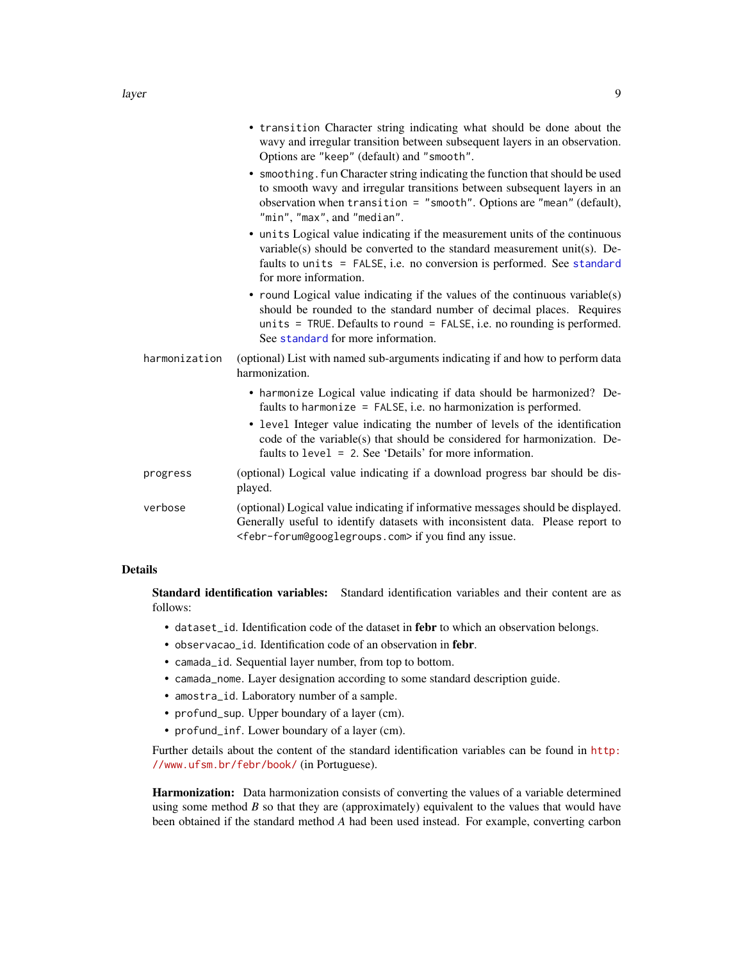<span id="page-8-0"></span>

|               | • transition Character string indicating what should be done about the<br>wavy and irregular transition between subsequent layers in an observation.<br>Options are "keep" (default) and "smooth".                                                                                                                                                                      |
|---------------|-------------------------------------------------------------------------------------------------------------------------------------------------------------------------------------------------------------------------------------------------------------------------------------------------------------------------------------------------------------------------|
|               | • smoothing. fun Character string indicating the function that should be used<br>to smooth wavy and irregular transitions between subsequent layers in an<br>observation when transition = $"smooth"$ . Options are "mean" (default),<br>"min", "max", and "median".                                                                                                    |
|               | • units Logical value indicating if the measurement units of the continuous<br>variable(s) should be converted to the standard measurement unit(s). De-<br>faults to units = FALSE, i.e. no conversion is performed. See standard<br>for more information.                                                                                                              |
|               | • round Logical value indicating if the values of the continuous variable(s)<br>should be rounded to the standard number of decimal places. Requires<br>units = TRUE. Defaults to round = FALSE, i.e. no rounding is performed.<br>See standard for more information.                                                                                                   |
| harmonization | (optional) List with named sub-arguments indicating if and how to perform data<br>harmonization.                                                                                                                                                                                                                                                                        |
|               | • harmonize Logical value indicating if data should be harmonized? De-<br>faults to harmonize = $FALSE$ , i.e. no harmonization is performed.<br>• level Integer value indicating the number of levels of the identification<br>code of the variable(s) that should be considered for harmonization. De-<br>faults to $level = 2$ . See 'Details' for more information. |
| progress      | (optional) Logical value indicating if a download progress bar should be dis-<br>played.                                                                                                                                                                                                                                                                                |
| verbose       | (optional) Logical value indicating if informative messages should be displayed.<br>Generally useful to identify datasets with inconsistent data. Please report to<br><febr-forum@googlegroups.com> if you find any issue.</febr-forum@googlegroups.com>                                                                                                                |

#### Details

Standard identification variables: Standard identification variables and their content are as follows:

- dataset\_id. Identification code of the dataset in febr to which an observation belongs.
- observacao\_id. Identification code of an observation in febr.
- camada\_id. Sequential layer number, from top to bottom.
- camada\_nome. Layer designation according to some standard description guide.
- amostra\_id. Laboratory number of a sample.
- profund\_sup. Upper boundary of a layer (cm).
- profund\_inf. Lower boundary of a layer (cm).

Further details about the content of the standard identification variables can be found in [http:](http://www.ufsm.br/febr/book/) [//www.ufsm.br/febr/book/](http://www.ufsm.br/febr/book/) (in Portuguese).

Harmonization: Data harmonization consists of converting the values of a variable determined using some method  $B$  so that they are (approximately) equivalent to the values that would have been obtained if the standard method *A* had been used instead. For example, converting carbon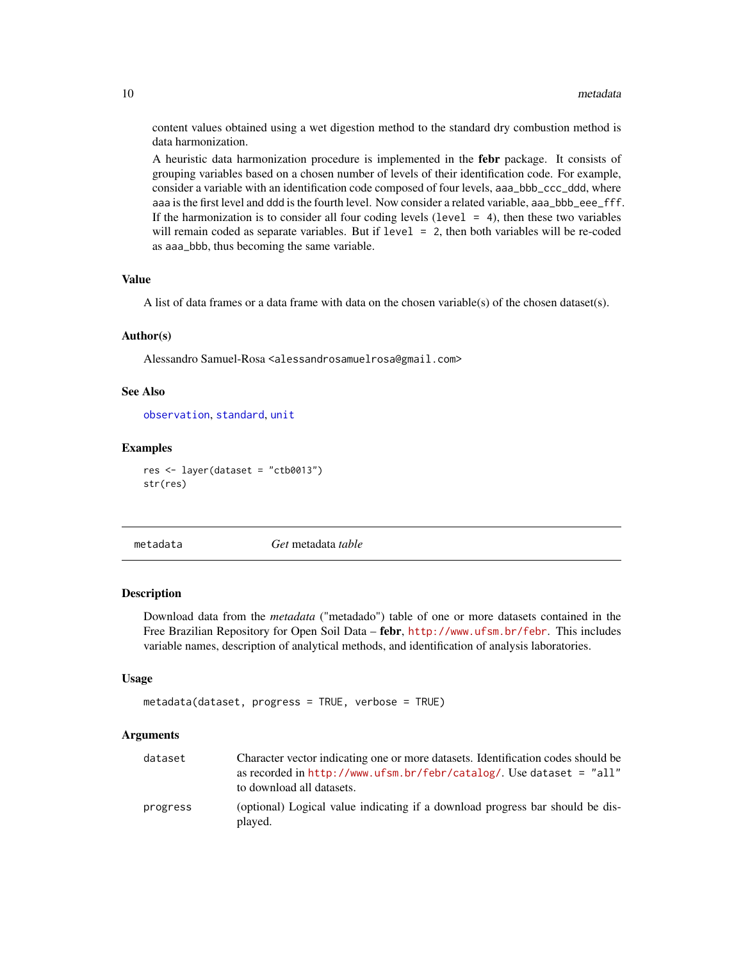content values obtained using a wet digestion method to the standard dry combustion method is data harmonization.

A heuristic data harmonization procedure is implemented in the febr package. It consists of grouping variables based on a chosen number of levels of their identification code. For example, consider a variable with an identification code composed of four levels, aaa\_bbb\_ccc\_ddd, where aaa is the first level and ddd is the fourth level. Now consider a related variable, aaa\_bbb\_eee\_fff. If the harmonization is to consider all four coding levels (level  $= 4$ ), then these two variables will remain coded as separate variables. But if level = 2, then both variables will be re-coded as aaa\_bbb, thus becoming the same variable.

#### Value

A list of data frames or a data frame with data on the chosen variable(s) of the chosen dataset(s).

#### Author(s)

Alessandro Samuel-Rosa <alessandrosamuelrosa@gmail.com>

#### See Also

[observation](#page-10-1), [standard](#page-13-1), [unit](#page-14-1)

#### Examples

res <- layer(dataset = "ctb0013") str(res)

<span id="page-9-1"></span>

metadata *Get* metadata *table*

#### **Description**

Download data from the *metadata* ("metadado") table of one or more datasets contained in the Free Brazilian Repository for Open Soil Data – febr, <http://www.ufsm.br/febr>. This includes variable names, description of analytical methods, and identification of analysis laboratories.

#### Usage

```
metadata(dataset, progress = TRUE, verbose = TRUE)
```

| dataset  | Character vector indicating one or more datasets. Identification codes should be         |
|----------|------------------------------------------------------------------------------------------|
|          | as recorded in $http://www.ufsm.br/febr/catalog/$ . Use dataset = "all"                  |
|          | to download all datasets.                                                                |
| progress | (optional) Logical value indicating if a download progress bar should be dis-<br>played. |

<span id="page-9-0"></span>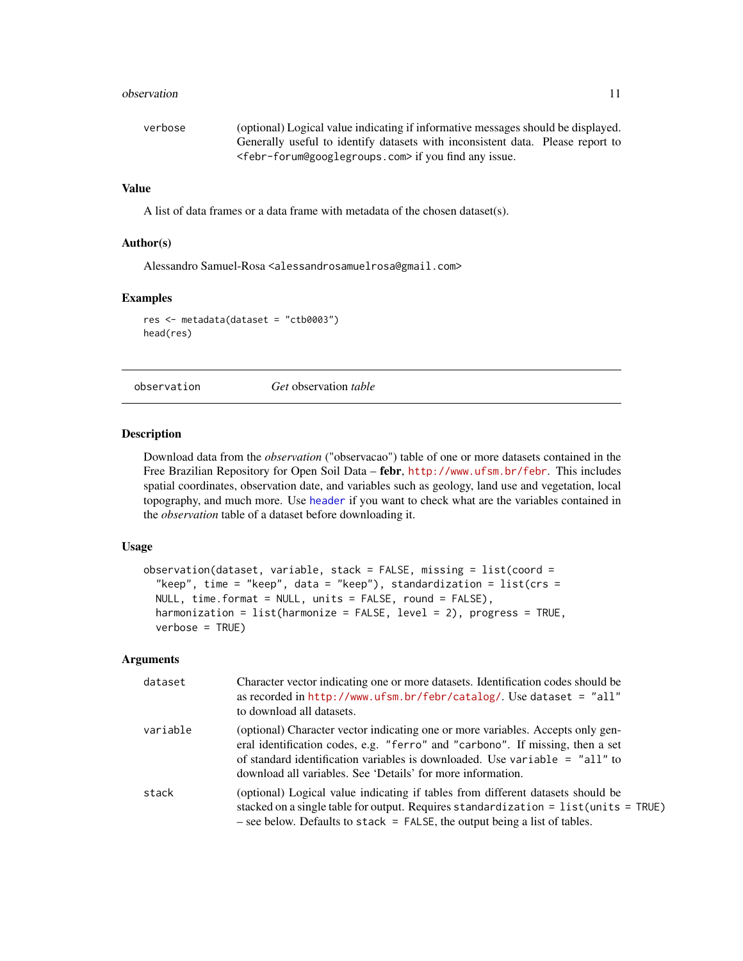#### <span id="page-10-0"></span>observation and the set of the set of the set of the set of the set of the set of the set of the set of the set of the set of the set of the set of the set of the set of the set of the set of the set of the set of the set

| verbose | (optional) Logical value indicating if informative messages should be displayed.   |  |
|---------|------------------------------------------------------------------------------------|--|
|         | Generally useful to identify datasets with inconsistent data. Please report to     |  |
|         | <febr-forum@googlegroups.com> if you find any issue.</febr-forum@googlegroups.com> |  |

#### Value

A list of data frames or a data frame with metadata of the chosen dataset(s).

#### Author(s)

Alessandro Samuel-Rosa <alessandrosamuelrosa@gmail.com>

#### Examples

res <- metadata(dataset = "ctb0003") head(res)

<span id="page-10-1"></span>observation *Get* observation *table*

#### Description

Download data from the *observation* ("observacao") table of one or more datasets contained in the Free Brazilian Repository for Open Soil Data – febr, <http://www.ufsm.br/febr>. This includes spatial coordinates, observation date, and variables such as geology, land use and vegetation, local topography, and much more. Use [header](#page-5-1) if you want to check what are the variables contained in the *observation* table of a dataset before downloading it.

#### Usage

```
observation(dataset, variable, stack = FALSE, missing = list(coord =
  "keep", time = "keep", data = "keep"), standardization = list(crs =
 NULL, time.format = NULL, units = FALSE, round = FALSE),
 harmonization = list(harmonize = FALSE, level = 2), progress = TRUE,
  verbose = TRUE)
```

| dataset  | Character vector indicating one or more datasets. Identification codes should be<br>as recorded in $http://www.ufsm.br/febr/catalog/$ . Use dataset = "all"<br>to download all datasets.                                                                                                                         |
|----------|------------------------------------------------------------------------------------------------------------------------------------------------------------------------------------------------------------------------------------------------------------------------------------------------------------------|
| variable | (optional) Character vector indicating one or more variables. Accepts only gen-<br>eral identification codes, e.g. "ferro" and "carbono". If missing, then a set<br>of standard identification variables is downloaded. Use variable $=$ "all" to<br>download all variables. See 'Details' for more information. |
| stack    | (optional) Logical value indicating if tables from different datasets should be<br>stacked on a single table for output. Requires standardization = $list$ (units = TRUE)<br>$-$ see below. Defaults to stack = FALSE, the output being a list of tables.                                                        |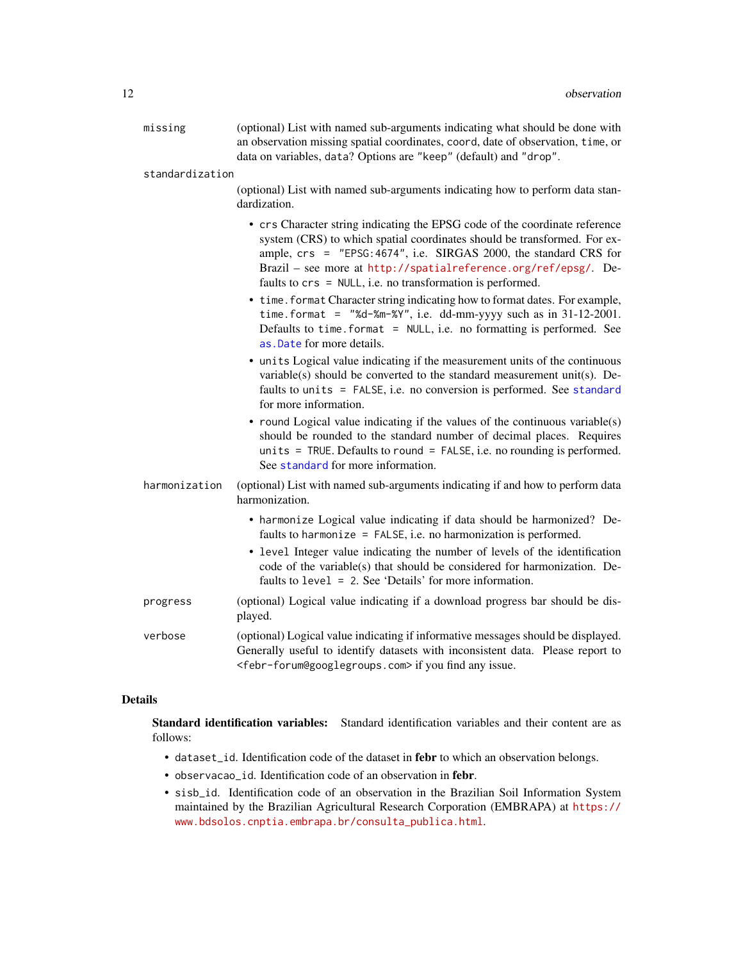<span id="page-11-0"></span>

| missing         | (optional) List with named sub-arguments indicating what should be done with<br>an observation missing spatial coordinates, coord, date of observation, time, or<br>data on variables, data? Options are "keep" (default) and "drop".                                                                                                                         |  |
|-----------------|---------------------------------------------------------------------------------------------------------------------------------------------------------------------------------------------------------------------------------------------------------------------------------------------------------------------------------------------------------------|--|
| standardization |                                                                                                                                                                                                                                                                                                                                                               |  |
|                 | (optional) List with named sub-arguments indicating how to perform data stan-<br>dardization.                                                                                                                                                                                                                                                                 |  |
|                 | • crs Character string indicating the EPSG code of the coordinate reference<br>system (CRS) to which spatial coordinates should be transformed. For ex-<br>ample, crs = "EPSG: 4674", i.e. SIRGAS 2000, the standard CRS for<br>Brazil - see more at http://spatialreference.org/ref/epsg/. De-<br>faults to crs = NULL, i.e. no transformation is performed. |  |
|                 | • time. format Character string indicating how to format dates. For example,<br>time.format = "%d-%m-%Y", i.e. dd-mm-yyyy such as in $31-12-2001$ .<br>Defaults to time. format = NULL, i.e. no formatting is performed. See<br>as. Date for more details.                                                                                                    |  |
|                 | • units Logical value indicating if the measurement units of the continuous<br>variable(s) should be converted to the standard measurement unit(s). De-<br>faults to units = FALSE, i.e. no conversion is performed. See standard<br>for more information.                                                                                                    |  |
|                 | • round Logical value indicating if the values of the continuous variable(s)<br>should be rounded to the standard number of decimal places. Requires<br>units = TRUE. Defaults to round = FALSE, i.e. no rounding is performed.<br>See standard for more information.                                                                                         |  |
| harmonization   | (optional) List with named sub-arguments indicating if and how to perform data<br>harmonization.                                                                                                                                                                                                                                                              |  |
|                 | • harmonize Logical value indicating if data should be harmonized? De-<br>faults to harmonize = $FALSE$ , i.e. no harmonization is performed.                                                                                                                                                                                                                 |  |
|                 | • level Integer value indicating the number of levels of the identification<br>code of the variable(s) that should be considered for harmonization. De-<br>faults to level = 2. See 'Details' for more information.                                                                                                                                           |  |
| progress        | (optional) Logical value indicating if a download progress bar should be dis-<br>played.                                                                                                                                                                                                                                                                      |  |
| verbose         | (optional) Logical value indicating if informative messages should be displayed.<br>Generally useful to identify datasets with inconsistent data. Please report to<br><febr-forum@googlegroups.com> if you find any issue.</febr-forum@googlegroups.com>                                                                                                      |  |

#### Details

Standard identification variables: Standard identification variables and their content are as follows:

- dataset\_id. Identification code of the dataset in febr to which an observation belongs.
- observacao\_id. Identification code of an observation in febr.
- sisb\_id. Identification code of an observation in the Brazilian Soil Information System maintained by the Brazilian Agricultural Research Corporation (EMBRAPA) at [https://](https://www.bdsolos.cnptia.embrapa.br/consulta_publica.html) [www.bdsolos.cnptia.embrapa.br/consulta\\_publica.html](https://www.bdsolos.cnptia.embrapa.br/consulta_publica.html).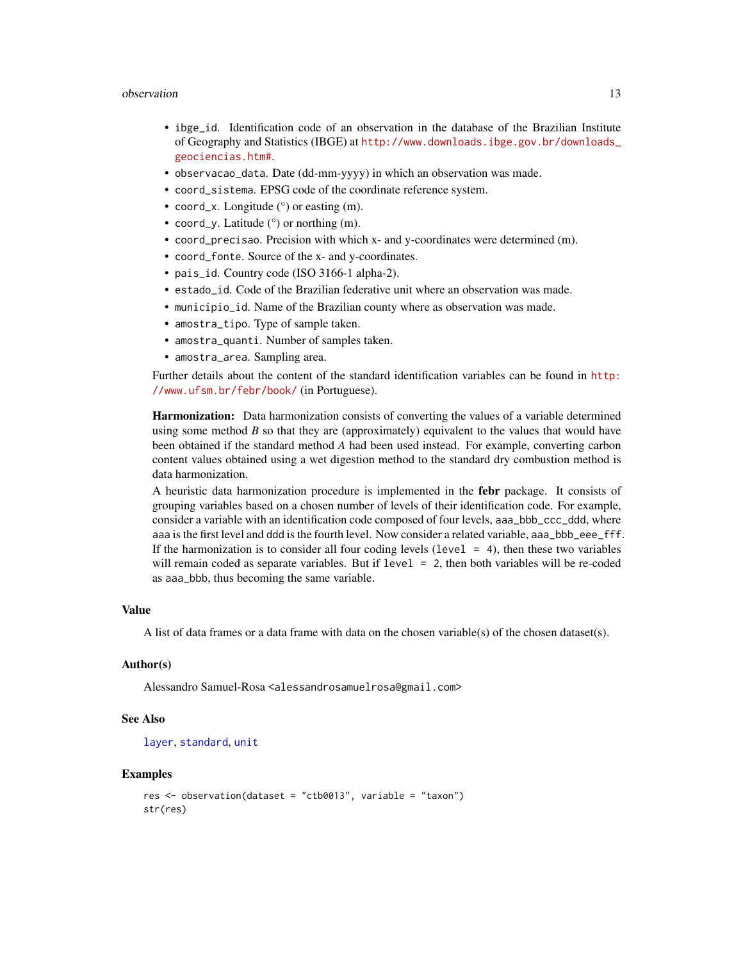#### <span id="page-12-0"></span>observation and the set of the set of the set of the set of the set of the set of the set of the set of the set of the set of the set of the set of the set of the set of the set of the set of the set of the set of the set

- ibge\_id. Identification code of an observation in the database of the Brazilian Institute of Geography and Statistics (IBGE) at [http://www.downloads.ibge.gov.br/downloads\\_](http://www.downloads.ibge.gov.br/downloads_geociencias.htm#) [geociencias.htm#](http://www.downloads.ibge.gov.br/downloads_geociencias.htm#).
- observacao\_data. Date (dd-mm-yyyy) in which an observation was made.
- coord\_sistema. EPSG code of the coordinate reference system.
- coord\_x. Longitude ( $\degree$ ) or easting (m).
- coord\_y. Latitude (°) or northing (m).
- coord\_precisao. Precision with which x- and y-coordinates were determined (m).
- coord\_fonte. Source of the x- and y-coordinates.
- pais\_id. Country code (ISO 3166-1 alpha-2).
- estado\_id. Code of the Brazilian federative unit where an observation was made.
- municipio\_id. Name of the Brazilian county where as observation was made.
- amostra\_tipo. Type of sample taken.
- amostra\_quanti. Number of samples taken.
- amostra\_area. Sampling area.

Further details about the content of the standard identification variables can be found in [http:](http://www.ufsm.br/febr/book/) [//www.ufsm.br/febr/book/](http://www.ufsm.br/febr/book/) (in Portuguese).

Harmonization: Data harmonization consists of converting the values of a variable determined using some method *B* so that they are (approximately) equivalent to the values that would have been obtained if the standard method *A* had been used instead. For example, converting carbon content values obtained using a wet digestion method to the standard dry combustion method is data harmonization.

A heuristic data harmonization procedure is implemented in the febr package. It consists of grouping variables based on a chosen number of levels of their identification code. For example, consider a variable with an identification code composed of four levels, aaa\_bbb\_ccc\_ddd, where aaa is the first level and ddd is the fourth level. Now consider a related variable, aaa\_bbb\_eee\_fff. If the harmonization is to consider all four coding levels (level  $= 4$ ), then these two variables will remain coded as separate variables. But if level = 2, then both variables will be re-coded as aaa\_bbb, thus becoming the same variable.

#### Value

A list of data frames or a data frame with data on the chosen variable(s) of the chosen dataset(s).

#### Author(s)

Alessandro Samuel-Rosa <alessandrosamuelrosa@gmail.com>

#### See Also

#### [layer](#page-6-1), [standard](#page-13-1), [unit](#page-14-1)

#### Examples

```
res <- observation(dataset = "ctb0013", variable = "taxon")
str(res)
```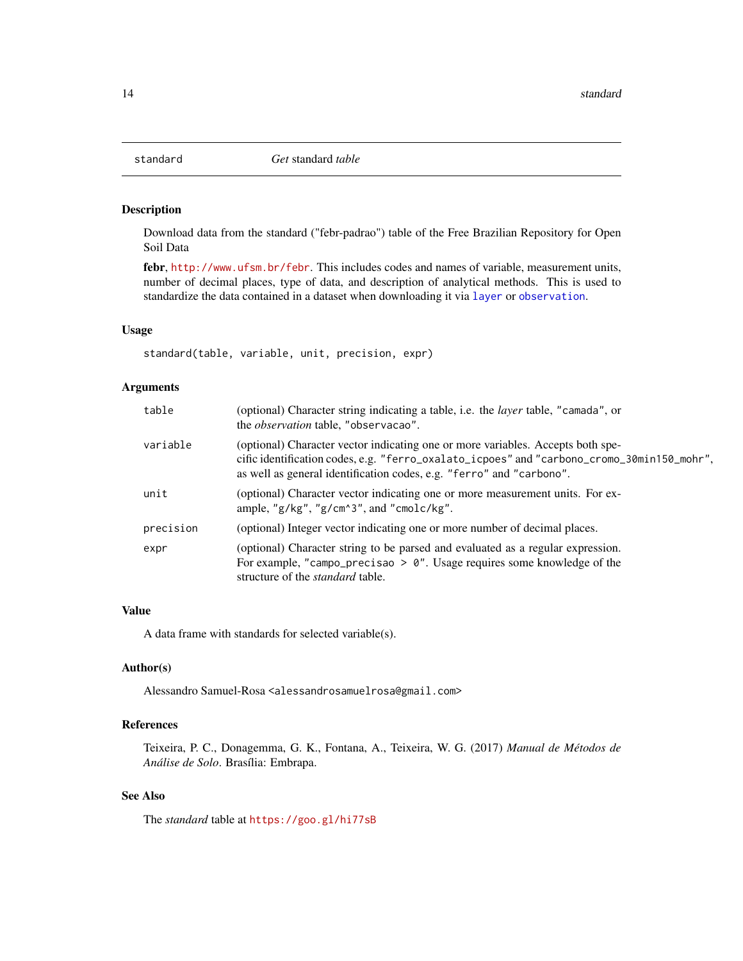<span id="page-13-1"></span><span id="page-13-0"></span>

#### Description

Download data from the standard ("febr-padrao") table of the Free Brazilian Repository for Open Soil Data

febr, <http://www.ufsm.br/febr>. This includes codes and names of variable, measurement units, number of decimal places, type of data, and description of analytical methods. This is used to standardize the data contained in a dataset when downloading it via [layer](#page-6-1) or [observation](#page-10-1).

#### Usage

standard(table, variable, unit, precision, expr)

#### Arguments

| table     | (optional) Character string indicating a table, i.e. the <i>layer</i> table, "camada", or<br>the <i>observation</i> table, "observacao".                                                                                                              |
|-----------|-------------------------------------------------------------------------------------------------------------------------------------------------------------------------------------------------------------------------------------------------------|
| variable  | (optional) Character vector indicating one or more variables. Accepts both spe-<br>cific identification codes, e.g. "ferro_oxalato_icpoes" and "carbono_cromo_30min150_mohr",<br>as well as general identification codes, e.g. "ferro" and "carbono". |
| unit      | (optional) Character vector indicating one or more measurement units. For ex-<br>ample, " $g/kg$ ", " $g/cm$ ^ 3", and "cmolc/kg".                                                                                                                    |
| precision | (optional) Integer vector indicating one or more number of decimal places.                                                                                                                                                                            |
| expr      | (optional) Character string to be parsed and evaluated as a regular expression.<br>For example, "campo_precisao > $0$ ". Usage requires some knowledge of the<br>structure of the <i>standard</i> table.                                              |

#### Value

A data frame with standards for selected variable(s).

#### Author(s)

Alessandro Samuel-Rosa <alessandrosamuelrosa@gmail.com>

#### References

Teixeira, P. C., Donagemma, G. K., Fontana, A., Teixeira, W. G. (2017) *Manual de Métodos de Análise de Solo*. Brasília: Embrapa.

#### See Also

The *standard* table at <https://goo.gl/hi77sB>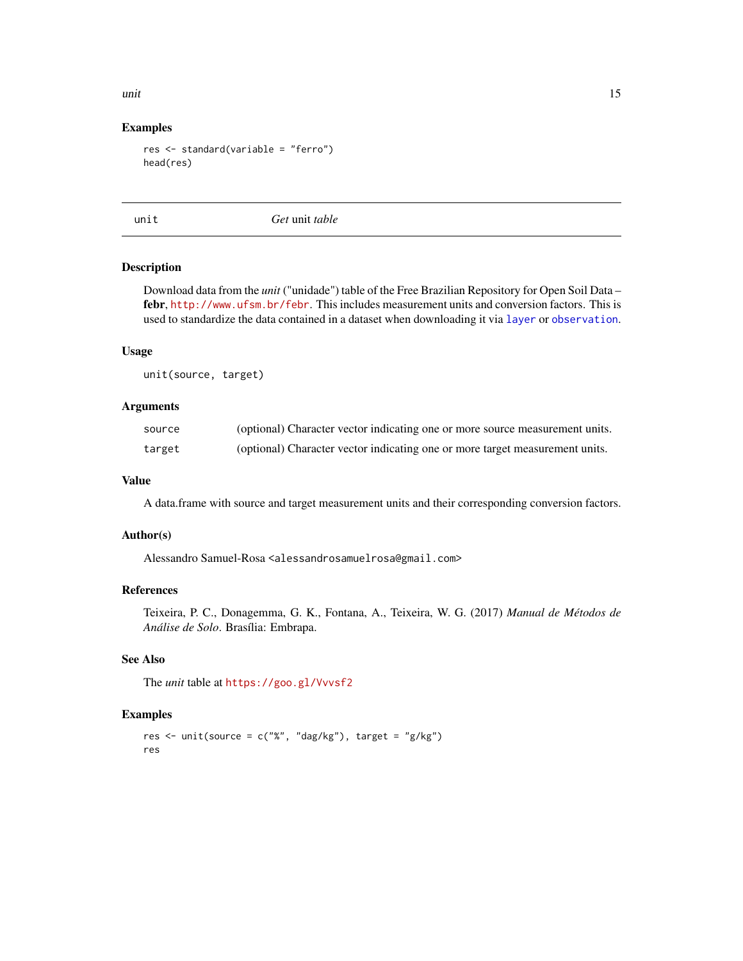<span id="page-14-0"></span>unit the contract of the contract of the contract of the contract of the contract of the contract of the contract of the contract of the contract of the contract of the contract of the contract of the contract of the contr

#### Examples

```
res <- standard(variable = "ferro")
head(res)
```
<span id="page-14-1"></span>

unit *Get* unit *table*

#### Description

Download data from the *unit* ("unidade") table of the Free Brazilian Repository for Open Soil Data – febr, <http://www.ufsm.br/febr>. This includes measurement units and conversion factors. This is used to standardize the data contained in a dataset when downloading it via [layer](#page-6-1) or [observation](#page-10-1).

#### Usage

unit(source, target)

#### Arguments

| source | (optional) Character vector indicating one or more source measurement units. |
|--------|------------------------------------------------------------------------------|
| target | (optional) Character vector indicating one or more target measurement units. |

#### Value

A data.frame with source and target measurement units and their corresponding conversion factors.

#### Author(s)

Alessandro Samuel-Rosa <alessandrosamuelrosa@gmail.com>

#### References

Teixeira, P. C., Donagemma, G. K., Fontana, A., Teixeira, W. G. (2017) *Manual de Métodos de Análise de Solo*. Brasília: Embrapa.

#### See Also

The *unit* table at <https://goo.gl/Vvvsf2>

#### Examples

res  $\le$  unit(source = c("%", "dag/kg"), target = "g/kg") res